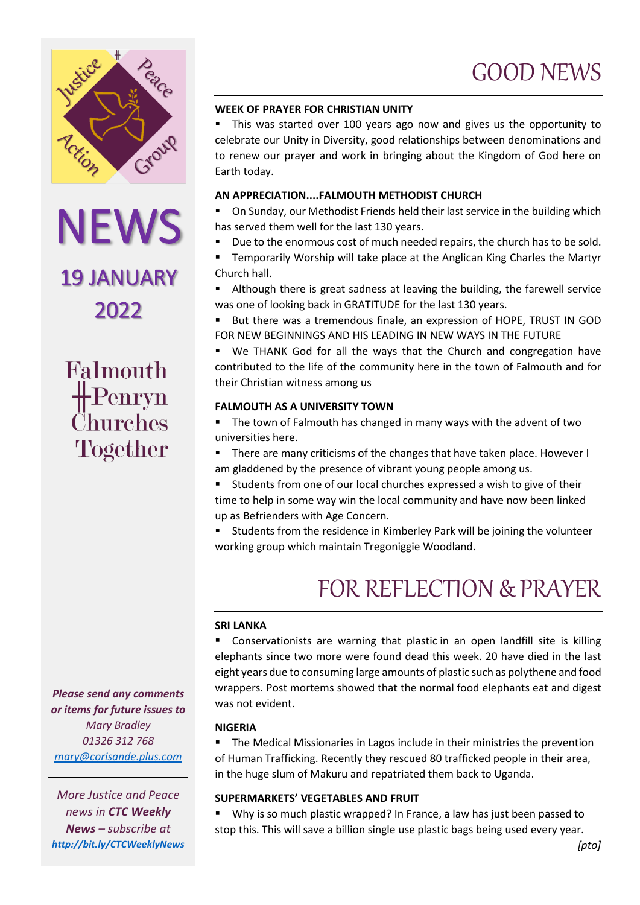

# NEWS<br>19 JANUARY

2022

Falmouth  $\bigoplus$ Penryn *Churches* Together

*Please send any comments or items for future issues to Mary Bradley 01326 312 768 [mary@corisande.plus.com](mailto:mary@corisande.plus.com)*

*More Justice and Peace news in CTC Weekly News – subscribe at <http://bit.ly/CTCWeeklyNews>*

# **WEEK OF PRAYER FOR CHRISTIAN UNITY**

 This was started over 100 years ago now and gives us the opportunity to celebrate our Unity in Diversity, good relationships between denominations and to renew our prayer and work in bringing about the Kingdom of God here on Earth today.

## **AN APPRECIATION....FALMOUTH METHODIST CHURCH**

 On Sunday, our Methodist Friends held their last service in the building which has served them well for the last 130 years.

- Due to the enormous cost of much needed repairs, the church has to be sold.
- Temporarily Worship will take place at the Anglican King Charles the Martyr Church hall.

 Although there is great sadness at leaving the building, the farewell service was one of looking back in GRATITUDE for the last 130 years.

 But there was a tremendous finale, an expression of HOPE, TRUST IN GOD FOR NEW BEGINNINGS AND HIS LEADING IN NEW WAYS IN THE FUTURE

 We THANK God for all the ways that the Church and congregation have contributed to the life of the community here in the town of Falmouth and for their Christian witness among us

# **FALMOUTH AS A UNIVERSITY TOWN**

**The town of Falmouth has changed in many ways with the advent of two** universities here.

**There are many criticisms of the changes that have taken place. However I** am gladdened by the presence of vibrant young people among us.

 Students from one of our local churches expressed a wish to give of their time to help in some way win the local community and have now been linked up as Befrienders with Age Concern.

**Students from the residence in Kimberley Park will be joining the volunteer** working group which maintain Tregoniggie Woodland.

# FOR REFLECTION & PRAYER

#### **SRI LANKA**

 Conservationists are warning that plastic in an open landfill site is killing elephants since two more were found dead this week. 20 have died in the last eight years due to consuming large amounts of plastic such as polythene and food wrappers. Post mortems showed that the normal food elephants eat and digest was not evident.

## **NIGERIA**

**The Medical Missionaries in Lagos include in their ministries the prevention** of Human Trafficking. Recently they rescued 80 trafficked people in their area, in the huge slum of Makuru and repatriated them back to Uganda.

## **SUPERMARKETS' VEGETABLES AND FRUIT**

 Why is so much plastic wrapped? In France, a law has just been passed to stop this. This will save a billion single use plastic bags being used every year.